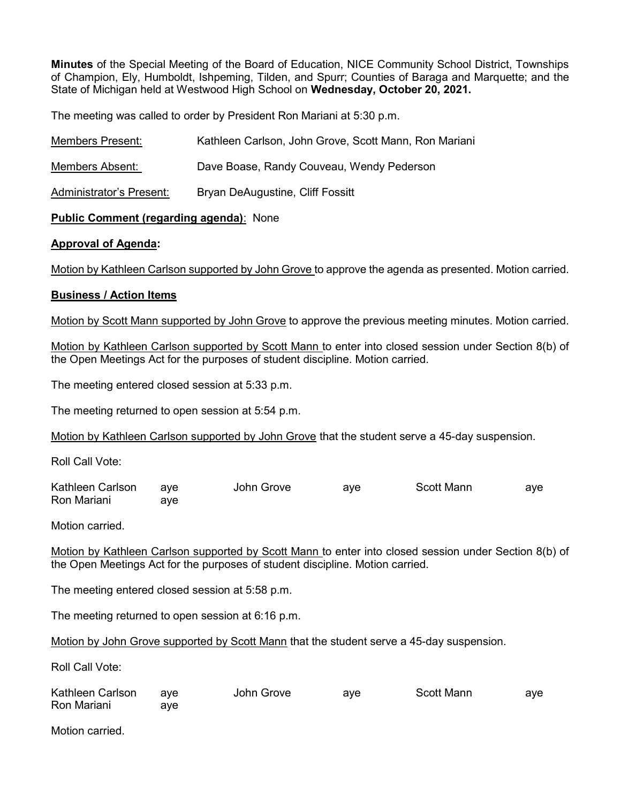Minutes of the Special Meeting of the Board of Education, NICE Community School District, Townships of Champion, Ely, Humboldt, Ishpeming, Tilden, and Spurr; Counties of Baraga and Marquette; and the State of Michigan held at Westwood High School on Wednesday, October 20, 2021.

The meeting was called to order by President Ron Mariani at 5:30 p.m.

| <b>Members Present:</b>  | Kathleen Carlson, John Grove, Scott Mann, Ron Mariani |
|--------------------------|-------------------------------------------------------|
| Members Absent:          | Dave Boase, Randy Couveau, Wendy Pederson             |
| Administrator's Present: | Bryan DeAugustine, Cliff Fossitt                      |

## Public Comment (regarding agenda): None

## Approval of Agenda:

Motion by Kathleen Carlson supported by John Grove to approve the agenda as presented. Motion carried.

## Business / Action Items

Motion by Scott Mann supported by John Grove to approve the previous meeting minutes. Motion carried.

Motion by Kathleen Carlson supported by Scott Mann to enter into closed session under Section 8(b) of the Open Meetings Act for the purposes of student discipline. Motion carried.

The meeting entered closed session at 5:33 p.m.

The meeting returned to open session at 5:54 p.m.

Motion by Kathleen Carlson supported by John Grove that the student serve a 45-day suspension.

Roll Call Vote:

| Kathleen Carlson | ave | John Grove | ave | <b>Scott Mann</b> | aye |
|------------------|-----|------------|-----|-------------------|-----|
| Ron Mariani      | ave |            |     |                   |     |

Motion carried.

Motion by Kathleen Carlson supported by Scott Mann to enter into closed session under Section 8(b) of the Open Meetings Act for the purposes of student discipline. Motion carried.

The meeting entered closed session at 5:58 p.m.

The meeting returned to open session at 6:16 p.m.

Motion by John Grove supported by Scott Mann that the student serve a 45-day suspension.

Roll Call Vote:

| Kathleen Carlson | ave | John Grove | aye | <b>Scott Mann</b> | aye |
|------------------|-----|------------|-----|-------------------|-----|
| Ron Mariani      | ave |            |     |                   |     |
|                  |     |            |     |                   |     |

Motion carried.